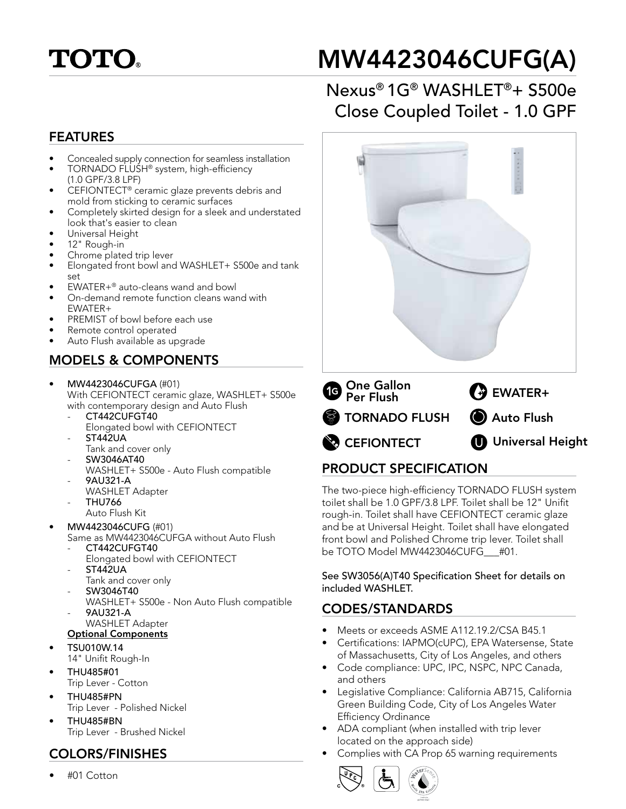

# MW4423046CUFG(A)

## Nexus® 1G® WASHLET®+ S500e Close Coupled Toilet - 1.0 GPF

#### FEATURES

- Concealed supply connection for seamless installation
- TORNADO FLUSH® system, high-efficiency (1.0 GPF/3.8 LPF)
- CEFIONTECT® ceramic glaze prevents debris and mold from sticking to ceramic surfaces
- Completely skirted design for a sleek and understated look that's easier to clean
- Universal Height
- 12" Rough-in
- Chrome plated trip lever
- Elongated front bowl and WASHLET+ S500e and tank set
- EWATER+® auto-cleans wand and bowl
- On-demand remote function cleans wand with EWATER+
- PREMIST of bowl before each use
- Remote control operated
- Auto Flush available as upgrade

#### MODELS & COMPONENTS

- MW4423046CUFGA (#01) With CEFIONTECT ceramic glaze, WASHLET+ S500e with contemporary design and Auto Flush
	- CT442CUFGT40 Elongated bowl with CEFIONTECT
	- ST442UA
	- Tank and cover only
	- SW3046AT40 WASHLET+ S500e - Auto Flush compatible
	- 9AU321-A
	- WASHLET Adapter
	- THU766
	- Auto Flush Kit
- MW4423046CUFG (#01)
	- Same as MW4423046CUFGA without Auto Flush CT442CUFGT40
		- Elongated bowl with CEFIONTECT
	- ST442UA
	- Tank and cover only - SW3046T40
	-
	- WASHLET+ S500e Non Auto Flush compatible - 9AU321-A WASHLET Adapter

#### Optional Components

- TSU010W.14
	- 14" Unifit Rough-In
- THU485#01 Trip Lever - Cotton
- THU485#PN Trip Lever - Polished Nickel
- THU485#BN Trip Lever - Brushed Nickel

#### COLORS/FINISHES

• #01 Cotton



### PRODUCT SPECIFICATION

The two-piece high-efficiency TORNADO FLUSH system toilet shall be 1.0 GPF/3.8 LPF. Toilet shall be 12" Unifit rough-in. Toilet shall have CEFIONTECT ceramic glaze and be at Universal Height. Toilet shall have elongated front bowl and Polished Chrome trip lever. Toilet shall be TOTO Model MW4423046CUFG\_\_\_#01.

See SW3056(A)T40 Specification Sheet for details on included WASHLET.

#### CODES/STANDARDS

- Meets or exceeds ASME A112.19.2/CSA B45.1
- Certifications: IAPMO(cUPC), EPA Watersense, State of Massachusetts, City of Los Angeles, and others
- Code compliance: UPC, IPC, NSPC, NPC Canada, and others
- Legislative Compliance: California AB715, California Green Building Code, City of Los Angeles Water Efficiency Ordinance
- ADA compliant (when installed with trip lever located on the approach side)
- Complies with CA Prop 65 warning requirements